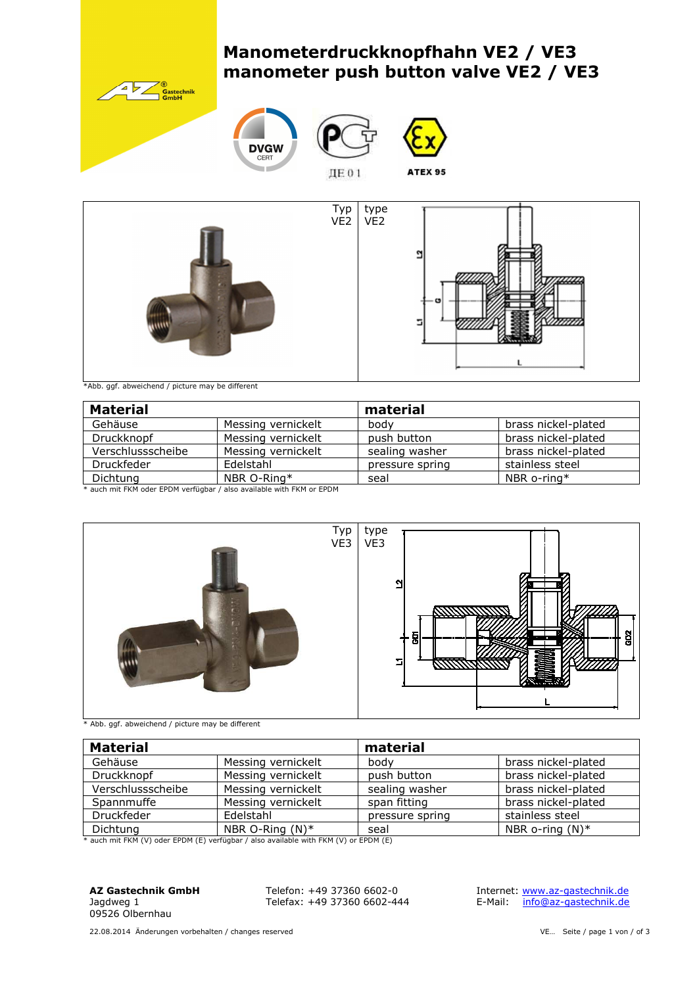# **Manometerdruckknopfhahn VE2 / VE3 manometer push button valve VE2 / VE3**











ДЕ 01

\*Abb. ggf. abweichend / picture may be different

| <b>Material</b>                                                      |                    | material        |                     |  |  |  |  |
|----------------------------------------------------------------------|--------------------|-----------------|---------------------|--|--|--|--|
| Gehäuse                                                              | Messing vernickelt | bodv            | brass nickel-plated |  |  |  |  |
| Druckknopf                                                           | Messing vernickelt | push button     | brass nickel-plated |  |  |  |  |
| Verschlussscheibe                                                    | Messing vernickelt | sealing washer  | brass nickel-plated |  |  |  |  |
| Druckfeder                                                           | Edelstahl          | pressure spring | stainless steel     |  |  |  |  |
| NBR O-Ring*<br>Dichtung                                              |                    | seal            | NBR o-ring $*$      |  |  |  |  |
| * auch mit FKM oder FPDM verfügbar / also available with FKM or FPDM |                    |                 |                     |  |  |  |  |

auch mit FKM oder EPDM verfügbar / also available with FKM or EPDM



\* Abb. ggf. abweichend / picture may be different

| <b>Material</b>   |                    | material        |                     |  |  |
|-------------------|--------------------|-----------------|---------------------|--|--|
| Gehäuse           | Messing vernickelt | body            | brass nickel-plated |  |  |
| Druckknopf        | Messing vernickelt | push button     | brass nickel-plated |  |  |
| Verschlussscheibe | Messing vernickelt | sealing washer  | brass nickel-plated |  |  |
| Spannmuffe        | Messing vernickelt | span fitting    | brass nickel-plated |  |  |
| <b>Druckfeder</b> | Edelstahl          | pressure spring | stainless steel     |  |  |
| Dichtung          | NBR O-Ring $(N)^*$ | seal            | NBR o-ring $(N)^*$  |  |  |

\* auch mit FKM (V) oder EPDM (E) verfügbar / also available with FKM (V) or EPDM (E)

**AZ Gastechnik GmbH**  Jagdweg 1 09526 Olbernhau

Telefon: +49 37360 6602-0 Telefax: +49 37360 6602-444  Internet: www.az-gastechnik.de E-Mail: info@az-gastechnik.de

22.08.2014 Änderungen vorbehalten / changes reserved variables of the VE... Seite / page 1 von / of 3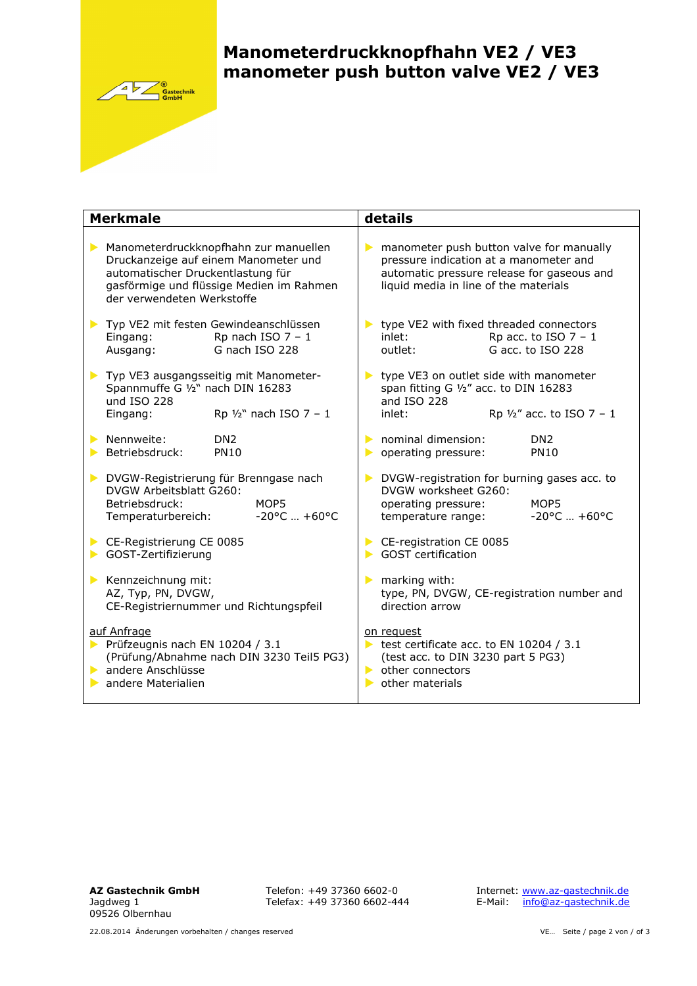

# **Manometerdruckknopfhahn VE2 / VE3 manometer push button valve VE2 / VE3**

| <b>Merkmale</b>                                                                                                                   | details                                                                                                                                                           |  |  |  |
|-----------------------------------------------------------------------------------------------------------------------------------|-------------------------------------------------------------------------------------------------------------------------------------------------------------------|--|--|--|
| Manometerdruckknopfhahn zur manuellen                                                                                             | manometer push button valve for manually                                                                                                                          |  |  |  |
| Druckanzeige auf einem Manometer und                                                                                              | $\blacktriangleright$                                                                                                                                             |  |  |  |
| automatischer Druckentlastung für                                                                                                 | pressure indication at a manometer and                                                                                                                            |  |  |  |
| gasförmige und flüssige Medien im Rahmen                                                                                          | automatic pressure release for gaseous and                                                                                                                        |  |  |  |
| der verwendeten Werkstoffe                                                                                                        | liquid media in line of the materials                                                                                                                             |  |  |  |
| Typ VE2 mit festen Gewindeanschlüssen<br>Rp nach ISO $7 - 1$<br>Eingang:<br>G nach ISO 228<br>Ausgang:                            | type VE2 with fixed threaded connectors<br>$\blacktriangleright$<br>Rp acc. to ISO $7 - 1$<br>inlet:<br>G acc. to ISO 228<br>outlet:                              |  |  |  |
| Typ VE3 ausgangsseitig mit Manometer-<br>Spannmuffe G 1/2" nach DIN 16283<br>und ISO 228<br>Rp $1/2$ " nach ISO 7 - 1<br>Eingang: | type VE3 on outlet side with manometer<br>$\blacktriangleright$<br>span fitting G 1/2" acc. to DIN 16283<br>and ISO 228<br>Rp $1/2''$ acc. to ISO 7 - 1<br>inlet: |  |  |  |
| Nennweite:<br>DN <sub>2</sub><br>Betriebsdruck:<br><b>PN10</b>                                                                    | nominal dimension:<br>DN <sub>2</sub><br>$\blacktriangleright$<br><b>PN10</b><br>operating pressure:<br>▶                                                         |  |  |  |
| DVGW-Registrierung für Brenngase nach                                                                                             | DVGW-registration for burning gases acc. to                                                                                                                       |  |  |  |
| DVGW Arbeitsblatt G260:                                                                                                           | DVGW worksheet G260:                                                                                                                                              |  |  |  |
| Betriebsdruck:                                                                                                                    | operating pressure:                                                                                                                                               |  |  |  |
| MOP5                                                                                                                              | MOP5                                                                                                                                                              |  |  |  |
| $-20$ °C $+60$ °C                                                                                                                 | $-20$ °C $+60$ °C                                                                                                                                                 |  |  |  |
| Temperaturbereich:                                                                                                                | temperature range:                                                                                                                                                |  |  |  |
| CE-Registrierung CE 0085                                                                                                          | CE-registration CE 0085                                                                                                                                           |  |  |  |
| GOST-Zertifizierung                                                                                                               | <b>GOST</b> certification                                                                                                                                         |  |  |  |
| Kennzeichnung mit:                                                                                                                | $\blacktriangleright$ marking with:                                                                                                                               |  |  |  |
| AZ, Typ, PN, DVGW,                                                                                                                | type, PN, DVGW, CE-registration number and                                                                                                                        |  |  |  |
| CE-Registriernummer und Richtungspfeil                                                                                            | direction arrow                                                                                                                                                   |  |  |  |
| auf Anfrage                                                                                                                       | on request                                                                                                                                                        |  |  |  |
| Prüfzeugnis nach EN 10204 / 3.1                                                                                                   | test certificate acc. to EN 10204 / 3.1                                                                                                                           |  |  |  |
| (Prüfung/Abnahme nach DIN 3230 Teil5 PG3)                                                                                         | (test acc. to DIN 3230 part 5 PG3)                                                                                                                                |  |  |  |
| andere Anschlüsse                                                                                                                 | $\triangleright$ other connectors                                                                                                                                 |  |  |  |
| andere Materialien                                                                                                                | $\triangleright$ other materials                                                                                                                                  |  |  |  |

Telefon: +49 37360 6602-0 Telefax: +49 37360 6602-444